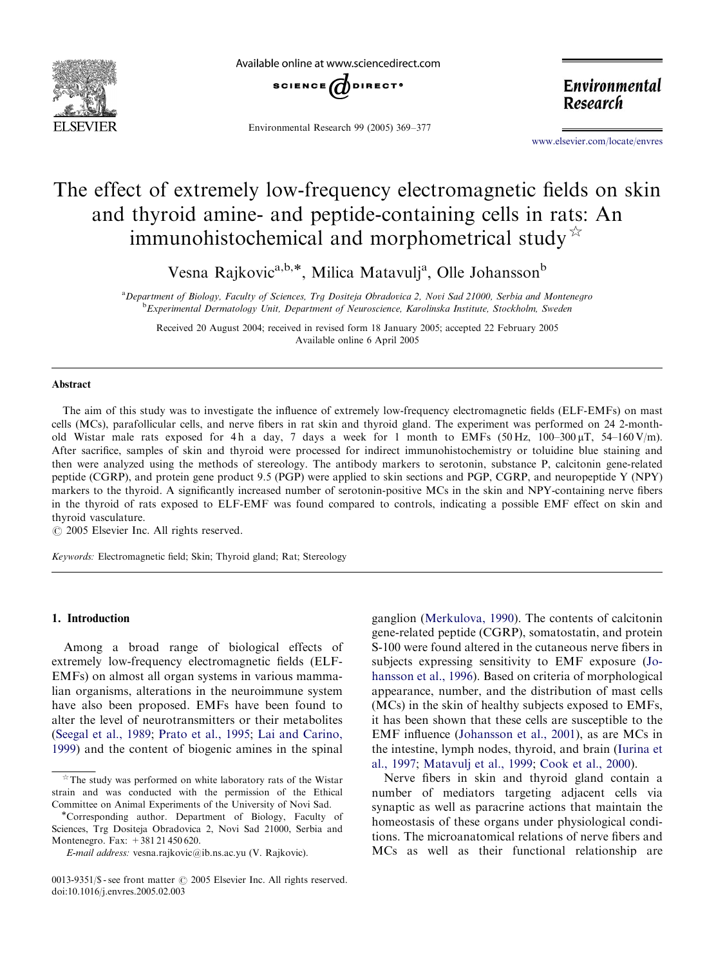

Available online at www.sciencedirect.com



Environmental Research 99 (2005) 369–377

**Environmental** Research

<www.elsevier.com/locate/envres>

# The effect of extremely low-frequency electromagnetic fields on skin and thyroid amine- and peptide-containing cells in rats: An immunohistochemical and morphometrical study  $\overrightarrow{x}$

Vesna Rajkovic<sup>a,b,\*</sup>, Milica Matavulj<sup>a</sup>, Olle Johansson<sup>b</sup>

a Department of Biology, Faculty of Sciences, Trg Dositeja Obradovica 2, Novi Sad 21000, Serbia and Montenegro <sup>b</sup> Experimental Dermatology Unit, Department of Neuroscience, Karolinska Institute, Stockholm, Sweden

Received 20 August 2004; received in revised form 18 January 2005; accepted 22 February 2005 Available online 6 April 2005

# Abstract

The aim of this study was to investigate the influence of extremely low-frequency electromagnetic fields (ELF-EMFs) on mast cells (MCs), parafollicular cells, and nerve fibers in rat skin and thyroid gland. The experiment was performed on 24 2-monthold Wistar male rats exposed for 4 h a day, 7 days a week for 1 month to EMFs (50 Hz,  $100-300 \mu T$ ,  $54-160 V/m$ ). After sacrifice, samples of skin and thyroid were processed for indirect immunohistochemistry or toluidine blue staining and then were analyzed using the methods of stereology. The antibody markers to serotonin, substance P, calcitonin gene-related peptide (CGRP), and protein gene product 9.5 (PGP) were applied to skin sections and PGP, CGRP, and neuropeptide Y (NPY) markers to the thyroid. A significantly increased number of serotonin-positive MCs in the skin and NPY-containing nerve fibers in the thyroid of rats exposed to ELF-EMF was found compared to controls, indicating a possible EMF effect on skin and thyroid vasculature.

 $\odot$  2005 Elsevier Inc. All rights reserved.

Keywords: Electromagnetic field; Skin; Thyroid gland; Rat; Stereology

## 1. Introduction

Among a broad range of biological effects of extremely low-frequency electromagnetic fields (ELF-EMFs) on almost all organ systems in various mammalian organisms, alterations in the neuroimmune system have also been proposed. EMFs have been found to alter the level of neurotransmitters or their metabolites ([Seegal et al., 1989](#page-8-0); [Prato et al., 1995;](#page-8-0) [Lai and Carino,](#page-7-0) [1999](#page-7-0)) and the content of biogenic amines in the spinal ganglion [\(Merkulova, 1990](#page-7-0)). The contents of calcitonin gene-related peptide (CGRP), somatostatin, and protein S-100 were found altered in the cutaneous nerve fibers in subjects expressing sensitivity to EMF exposure [\(Jo](#page-7-0)[hansson et al., 1996\)](#page-7-0). Based on criteria of morphological appearance, number, and the distribution of mast cells (MCs) in the skin of healthy subjects exposed to EMFs, it has been shown that these cells are susceptible to the EMF influence [\(Johansson et al., 2001](#page-7-0)), as are MCs in the intestine, lymph nodes, thyroid, and brain ([Iurina et](#page-7-0) [al., 1997;](#page-7-0) [Matavulj et al., 1999;](#page-7-0) [Cook et al., 2000](#page-7-0)).

Nerve fibers in skin and thyroid gland contain a number of mediators targeting adjacent cells via synaptic as well as paracrine actions that maintain the homeostasis of these organs under physiological conditions. The microanatomical relations of nerve fibers and MCs as well as their functional relationship are

The study was performed on white laboratory rats of the Wistar strain and was conducted with the permission of the Ethical Committee on Animal Experiments of the University of Novi Sad.<br>
\*Corresponding author. Department of Biology, Faculty of

Sciences, Trg Dositeja Obradovica 2, Novi Sad 21000, Serbia and Montenegro. Fax: +381 21 450 620.

E-mail address: vesna.rajkovic@ib.ns.ac.yu (V. Rajkovic).

<sup>0013-9351/\$ -</sup> see front matter  $\odot$  2005 Elsevier Inc. All rights reserved. doi:10.1016/j.envres.2005.02.003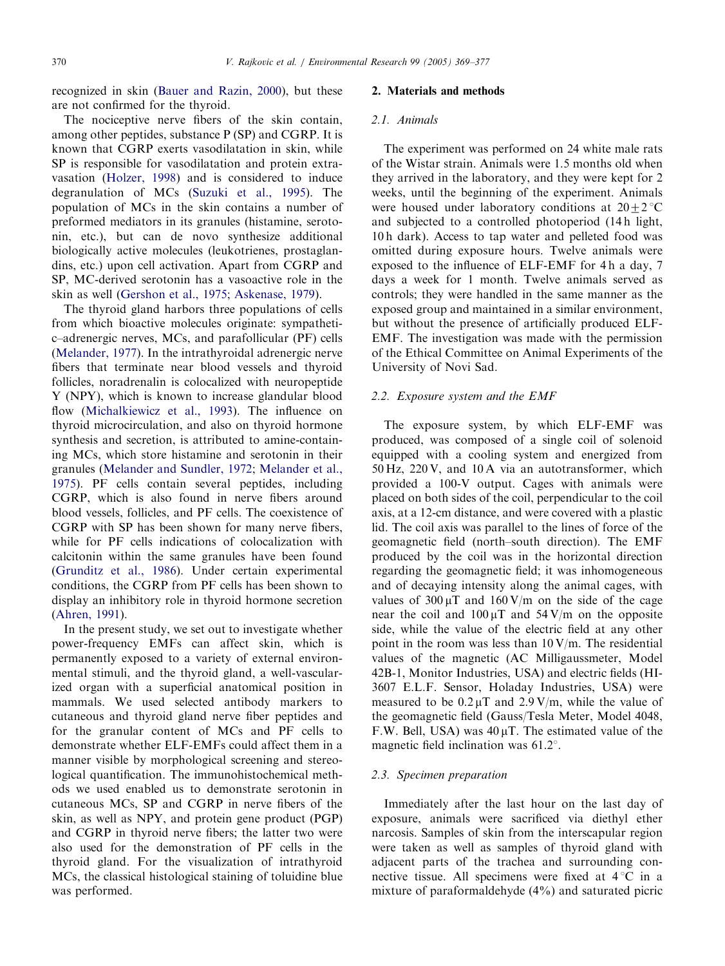recognized in skin ([Bauer and Razin, 2000](#page-7-0)), but these are not confirmed for the thyroid.

The nociceptive nerve fibers of the skin contain, among other peptides, substance P (SP) and CGRP. It is known that CGRP exerts vasodilatation in skin, while SP is responsible for vasodilatation and protein extravasation [\(Holzer, 1998\)](#page-7-0) and is considered to induce degranulation of MCs [\(Suzuki et al., 1995](#page-8-0)). The population of MCs in the skin contains a number of preformed mediators in its granules (histamine, serotonin, etc.), but can de novo synthesize additional biologically active molecules (leukotrienes, prostaglandins, etc.) upon cell activation. Apart from CGRP and SP, MC-derived serotonin has a vasoactive role in the skin as well [\(Gershon et al., 1975;](#page-7-0) [Askenase, 1979\)](#page-7-0).

The thyroid gland harbors three populations of cells from which bioactive molecules originate: sympathetic–adrenergic nerves, MCs, and parafollicular (PF) cells ([Melander, 1977](#page-7-0)). In the intrathyroidal adrenergic nerve fibers that terminate near blood vessels and thyroid follicles, noradrenalin is colocalized with neuropeptide Y (NPY), which is known to increase glandular blood flow [\(Michalkiewicz et al., 1993](#page-8-0)). The influence on thyroid microcirculation, and also on thyroid hormone synthesis and secretion, is attributed to amine-containing MCs, which store histamine and serotonin in their granules ([Melander and Sundler, 1972](#page-7-0); [Melander et al.,](#page-7-0) [1975](#page-7-0)). PF cells contain several peptides, including CGRP, which is also found in nerve fibers around blood vessels, follicles, and PF cells. The coexistence of CGRP with SP has been shown for many nerve fibers, while for PF cells indications of colocalization with calcitonin within the same granules have been found ([Grunditz et al., 1986\)](#page-7-0). Under certain experimental conditions, the CGRP from PF cells has been shown to display an inhibitory role in thyroid hormone secretion ([Ahren, 1991\)](#page-7-0).

In the present study, we set out to investigate whether power-frequency EMFs can affect skin, which is permanently exposed to a variety of external environmental stimuli, and the thyroid gland, a well-vascularized organ with a superficial anatomical position in mammals. We used selected antibody markers to cutaneous and thyroid gland nerve fiber peptides and for the granular content of MCs and PF cells to demonstrate whether ELF-EMFs could affect them in a manner visible by morphological screening and stereological quantification. The immunohistochemical methods we used enabled us to demonstrate serotonin in cutaneous MCs, SP and CGRP in nerve fibers of the skin, as well as NPY, and protein gene product (PGP) and CGRP in thyroid nerve fibers; the latter two were also used for the demonstration of PF cells in the thyroid gland. For the visualization of intrathyroid MCs, the classical histological staining of toluidine blue was performed.

#### 2. Materials and methods

#### 2.1 Animals

The experiment was performed on 24 white male rats of the Wistar strain. Animals were 1.5 months old when they arrived in the laboratory, and they were kept for 2 weeks, until the beginning of the experiment. Animals were housed under laboratory conditions at  $20+2$  °C and subjected to a controlled photoperiod (14 h light, 10 h dark). Access to tap water and pelleted food was omitted during exposure hours. Twelve animals were exposed to the influence of ELF-EMF for 4 h a day, 7 days a week for 1 month. Twelve animals served as controls; they were handled in the same manner as the exposed group and maintained in a similar environment, but without the presence of artificially produced ELF-EMF. The investigation was made with the permission of the Ethical Committee on Animal Experiments of the University of Novi Sad.

#### 2.2. Exposure system and the EMF

The exposure system, by which ELF-EMF was produced, was composed of a single coil of solenoid equipped with a cooling system and energized from 50 Hz, 220 V, and 10 A via an autotransformer, which provided a 100-V output. Cages with animals were placed on both sides of the coil, perpendicular to the coil axis, at a 12-cm distance, and were covered with a plastic lid. The coil axis was parallel to the lines of force of the geomagnetic field (north–south direction). The EMF produced by the coil was in the horizontal direction regarding the geomagnetic field; it was inhomogeneous and of decaying intensity along the animal cages, with values of  $300 \mu$ T and  $160 \text{ V/m}$  on the side of the cage near the coil and  $100 \mu T$  and  $54 V/m$  on the opposite side, while the value of the electric field at any other point in the room was less than  $10 \text{ V/m}$ . The residential values of the magnetic (AC Milligaussmeter, Model 42B-1, Monitor Industries, USA) and electric fields (HI-3607 E.L.F. Sensor, Holaday Industries, USA) were measured to be  $0.2 \mu T$  and  $2.9 V/m$ , while the value of the geomagnetic field (Gauss/Tesla Meter, Model 4048, F.W. Bell, USA) was  $40 \mu T$ . The estimated value of the magnetic field inclination was  $61.2^\circ$ .

#### 2.3. Specimen preparation

Immediately after the last hour on the last day of exposure, animals were sacrificed via diethyl ether narcosis. Samples of skin from the interscapular region were taken as well as samples of thyroid gland with adjacent parts of the trachea and surrounding connective tissue. All specimens were fixed at  $4^{\circ}$ C in a mixture of paraformaldehyde (4%) and saturated picric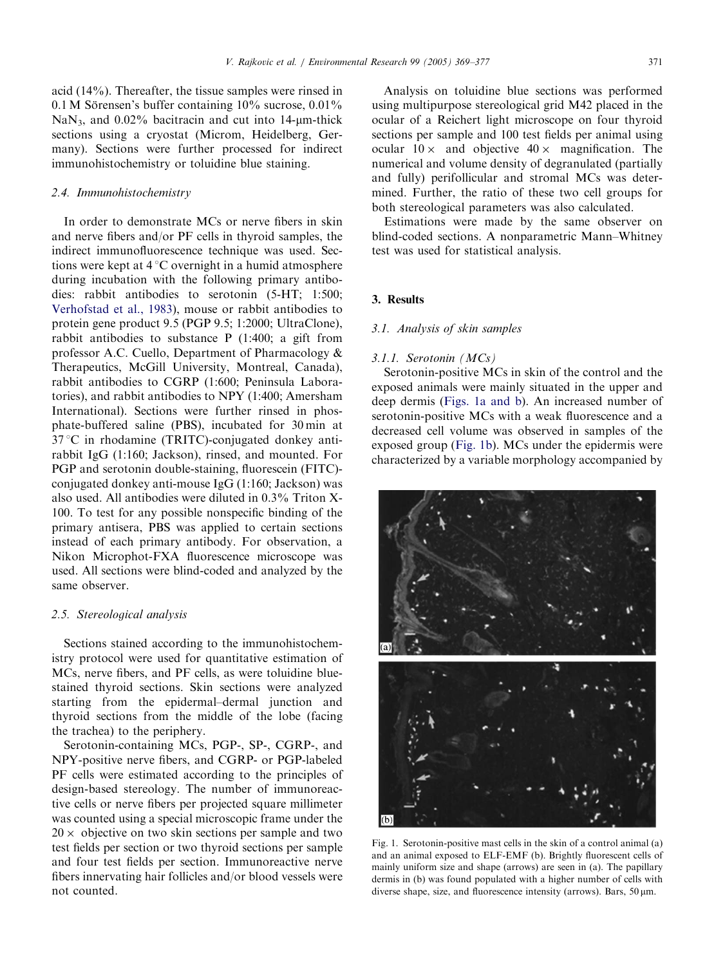acid (14%). Thereafter, the tissue samples were rinsed in  $0.1$  M Sörensen's buffer containing  $10\%$  sucrose,  $0.01\%$ NaN<sub>3</sub>, and  $0.02\%$  bacitracin and cut into 14-µm-thick sections using a cryostat (Microm, Heidelberg, Germany). Sections were further processed for indirect immunohistochemistry or toluidine blue staining.

# 2.4. Immunohistochemistry

In order to demonstrate MCs or nerve fibers in skin and nerve fibers and/or PF cells in thyroid samples, the indirect immunofluorescence technique was used. Sections were kept at  $4^{\circ}$ C overnight in a humid atmosphere during incubation with the following primary antibodies: rabbit antibodies to serotonin (5-HT; 1:500; [Verhofstad et al., 1983\)](#page-8-0), mouse or rabbit antibodies to protein gene product 9.5 (PGP 9.5; 1:2000; UltraClone), rabbit antibodies to substance P (1:400; a gift from professor A.C. Cuello, Department of Pharmacology & Therapeutics, McGill University, Montreal, Canada), rabbit antibodies to CGRP (1:600; Peninsula Laboratories), and rabbit antibodies to NPY (1:400; Amersham International). Sections were further rinsed in phosphate-buffered saline (PBS), incubated for 30 min at  $37^{\circ}$ C in rhodamine (TRITC)-conjugated donkey antirabbit IgG (1:160; Jackson), rinsed, and mounted. For PGP and serotonin double-staining, fluorescein (FITC) conjugated donkey anti-mouse IgG (1:160; Jackson) was also used. All antibodies were diluted in 0.3% Triton X-100. To test for any possible nonspecific binding of the primary antisera, PBS was applied to certain sections instead of each primary antibody. For observation, a Nikon Microphot-FXA fluorescence microscope was used. All sections were blind-coded and analyzed by the same observer.

# 2.5. Stereological analysis

Sections stained according to the immunohistochemistry protocol were used for quantitative estimation of MCs, nerve fibers, and PF cells, as were toluidine bluestained thyroid sections. Skin sections were analyzed starting from the epidermal–dermal junction and thyroid sections from the middle of the lobe (facing the trachea) to the periphery.

Serotonin-containing MCs, PGP-, SP-, CGRP-, and NPY-positive nerve fibers, and CGRP- or PGP-labeled PF cells were estimated according to the principles of design-based stereology. The number of immunoreactive cells or nerve fibers per projected square millimeter was counted using a special microscopic frame under the  $20 \times$  objective on two skin sections per sample and two test fields per section or two thyroid sections per sample and four test fields per section. Immunoreactive nerve fibers innervating hair follicles and/or blood vessels were not counted.

Analysis on toluidine blue sections was performed using multipurpose stereological grid M42 placed in the ocular of a Reichert light microscope on four thyroid sections per sample and 100 test fields per animal using ocular  $10 \times$  and objective  $40 \times$  magnification. The numerical and volume density of degranulated (partially and fully) perifollicular and stromal MCs was determined. Further, the ratio of these two cell groups for both stereological parameters was also calculated.

Estimations were made by the same observer on blind-coded sections. A nonparametric Mann–Whitney test was used for statistical analysis.

# 3. Results

# 3.1. Analysis of skin samples

#### 3.1.1. Serotonin (MCs)

Serotonin-positive MCs in skin of the control and the exposed animals were mainly situated in the upper and deep dermis (Figs. 1a and b). An increased number of serotonin-positive MCs with a weak fluorescence and a decreased cell volume was observed in samples of the exposed group (Fig. 1b). MCs under the epidermis were characterized by a variable morphology accompanied by

 $(b)$ 

Fig. 1. Serotonin-positive mast cells in the skin of a control animal (a) and an animal exposed to ELF-EMF (b). Brightly fluorescent cells of mainly uniform size and shape (arrows) are seen in (a). The papillary dermis in (b) was found populated with a higher number of cells with diverse shape, size, and fluorescence intensity (arrows). Bars, 50  $\mu$ m.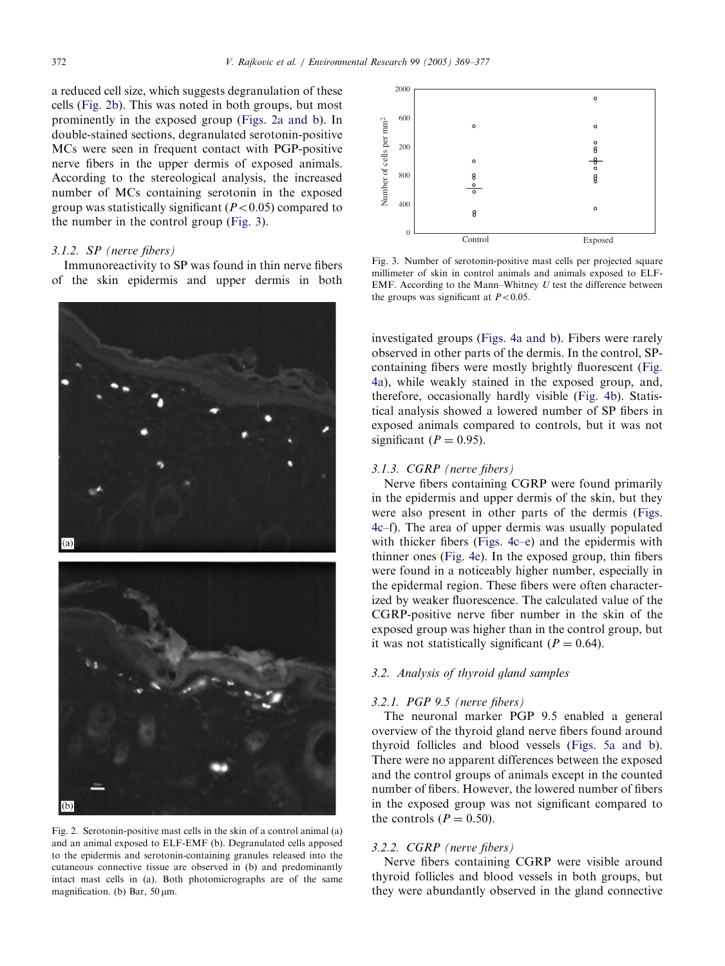a reduced cell size, which suggests degranulation of these cells (Fig. 2b). This was noted in both groups, but most prominently in the exposed group (Figs. 2a and b). In double-stained sections, degranulated serotonin-positive MCs were seen in frequent contact with PGP-positive nerve fibers in the upper dermis of exposed animals. According to the stereological analysis, the increased number of MCs containing serotonin in the exposed group was statistically significant  $(P<0.05)$  compared to the number in the control group (Fig. 3).

#### 3.1.2. SP (nerve fibers)

Immunoreactivity to SP was found in thin nerve fibers of the skin epidermis and upper dermis in both



Fig. 2. Serotonin-positive mast cells in the skin of a control animal (a) and an animal exposed to ELF-EMF (b). Degranulated cells apposed to the epidermis and serotonin-containing granules released into the cutaneous connective tissue are observed in (b) and predominantly intact mast cells in (a). Both photomicrographs are of the same magnification. (b) Bar,  $50 \mu m$ .



Fig. 3. Number of serotonin-positive mast cells per projected square millimeter of skin in control animals and animals exposed to ELF-EMF. According to the Mann–Whitney  $U$  test the difference between the groups was significant at  $P < 0.05$ .

investigated groups [\(Figs. 4a and b](#page-4-0)). Fibers were rarely observed in other parts of the dermis. In the control, SPcontaining fibers were mostly brightly fluorescent ([Fig.](#page-4-0) [4a](#page-4-0)), while weakly stained in the exposed group, and, therefore, occasionally hardly visible ([Fig. 4b](#page-4-0)). Statistical analysis showed a lowered number of SP fibers in exposed animals compared to controls, but it was not significant ( $P = 0.95$ ).

#### 3.1.3. CGRP (nerve fibers)

Nerve fibers containing CGRP were found primarily in the epidermis and upper dermis of the skin, but they were also present in other parts of the dermis ([Figs.](#page-4-0) [4c–f](#page-4-0)). The area of upper dermis was usually populated with thicker fibers [\(Figs. 4c–e](#page-4-0)) and the epidermis with thinner ones [\(Fig. 4e\)](#page-4-0). In the exposed group, thin fibers were found in a noticeably higher number, especially in the epidermal region. These fibers were often characterized by weaker fluorescence. The calculated value of the CGRP-positive nerve fiber number in the skin of the exposed group was higher than in the control group, but it was not statistically significant ( $P = 0.64$ ).

# 3.2. Analysis of thyroid gland samples

#### 3.2.1. PGP 9.5 (nerve fibers)

The neuronal marker PGP 9.5 enabled a general overview of the thyroid gland nerve fibers found around thyroid follicles and blood vessels [\(Figs. 5a and b\)](#page-4-0). There were no apparent differences between the exposed and the control groups of animals except in the counted number of fibers. However, the lowered number of fibers in the exposed group was not significant compared to the controls  $(P = 0.50)$ .

#### 3.2.2. CGRP (nerve fibers)

Nerve fibers containing CGRP were visible around thyroid follicles and blood vessels in both groups, but they were abundantly observed in the gland connective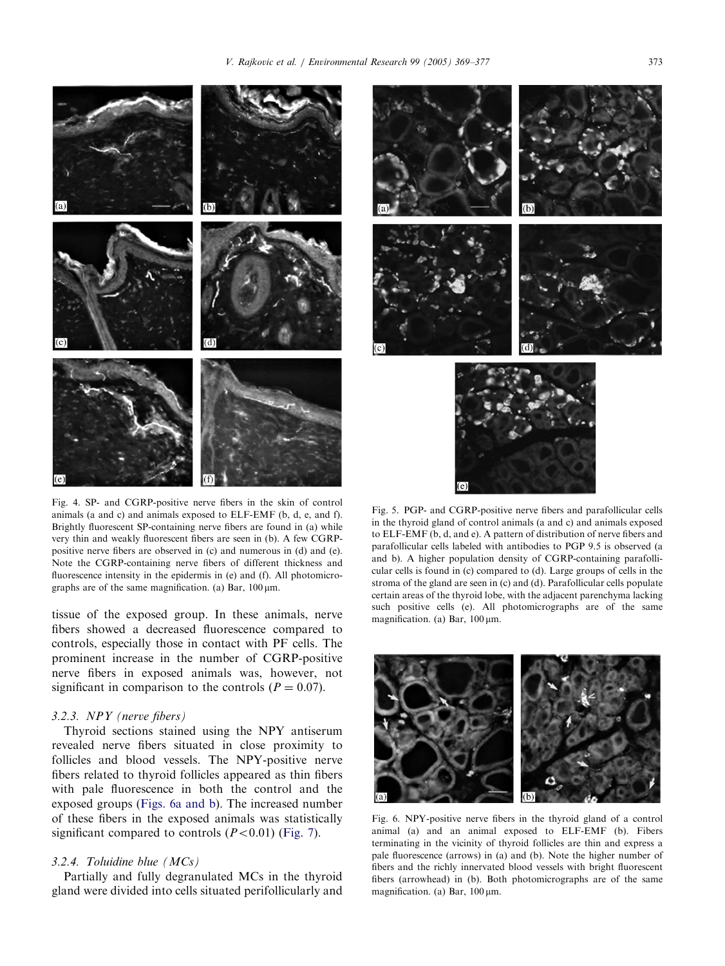<span id="page-4-0"></span>

animals (a and c) and animals exposed to ELF-EMF (b, d, e, and f). Brightly fluorescent SP-containing nerve fibers are found in (a) while very thin and weakly fluorescent fibers are seen in (b). A few CGRPpositive nerve fibers are observed in (c) and numerous in (d) and (e). Note the CGRP-containing nerve fibers of different thickness and fluorescence intensity in the epidermis in (e) and (f). All photomicrographs are of the same magnification. (a) Bar,  $100 \mu m$ .

tissue of the exposed group. In these animals, nerve fibers showed a decreased fluorescence compared to controls, especially those in contact with PF cells. The prominent increase in the number of CGRP-positive nerve fibers in exposed animals was, however, not significant in comparison to the controls ( $P = 0.07$ ).

# 3.2.3. NPY (nerve fibers)

Thyroid sections stained using the NPY antiserum revealed nerve fibers situated in close proximity to follicles and blood vessels. The NPY-positive nerve fibers related to thyroid follicles appeared as thin fibers with pale fluorescence in both the control and the exposed groups (Figs. 6a and b). The increased number of these fibers in the exposed animals was statistically significant compared to controls  $(P<0.01)$  [\(Fig. 7\)](#page-5-0).

# 3.2.4. Toluidine blue (MCs)

Partially and fully degranulated MCs in the thyroid gland were divided into cells situated perifollicularly and

Fig. 5. PGP- and CGRP-positive nerve fibers and parafollicular cells in the thyroid gland of control animals (a and c) and animals exposed to ELF-EMF (b, d, and e). A pattern of distribution of nerve fibers and parafollicular cells labeled with antibodies to PGP 9.5 is observed (a and b). A higher population density of CGRP-containing parafollicular cells is found in (c) compared to (d). Large groups of cells in the stroma of the gland are seen in (c) and (d). Parafollicular cells populate certain areas of the thyroid lobe, with the adjacent parenchyma lacking such positive cells (e). All photomicrographs are of the same magnification. (a) Bar,  $100 \mu m$ .



Fig. 6. NPY-positive nerve fibers in the thyroid gland of a control animal (a) and an animal exposed to ELF-EMF (b). Fibers terminating in the vicinity of thyroid follicles are thin and express a pale fluorescence (arrows) in (a) and (b). Note the higher number of fibers and the richly innervated blood vessels with bright fluorescent fibers (arrowhead) in (b). Both photomicrographs are of the same magnification. (a) Bar,  $100 \mu m$ .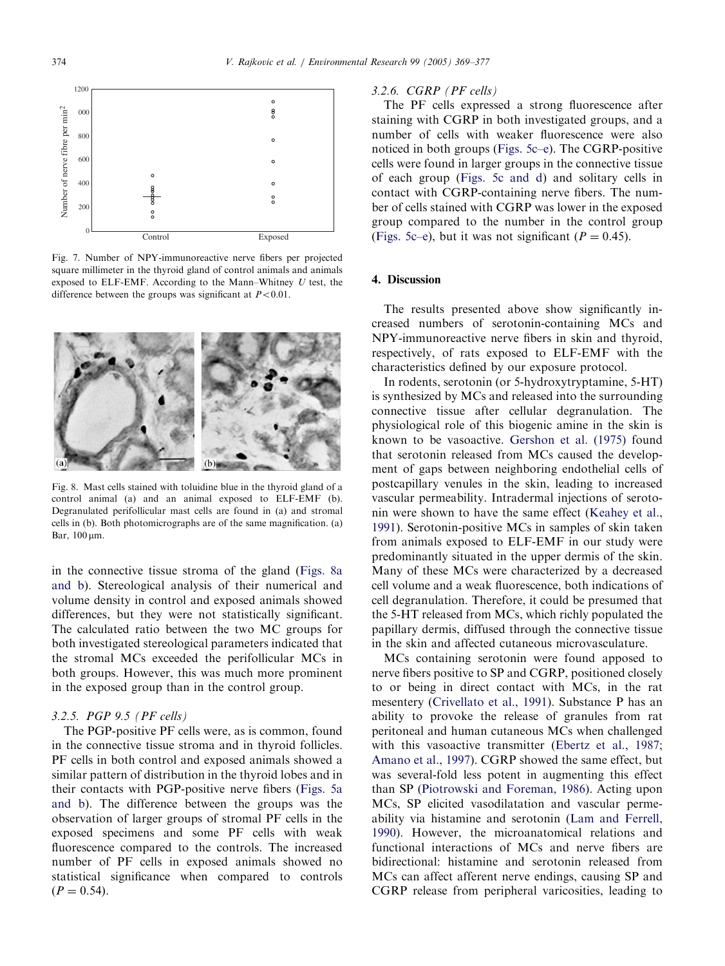<span id="page-5-0"></span>

Fig. 7. Number of NPY-immunoreactive nerve fibers per projected square millimeter in the thyroid gland of control animals and animals exposed to ELF-EMF. According to the Mann–Whitney  $U$  test, the difference between the groups was significant at  $P < 0.01$ .



Fig. 8. Mast cells stained with toluidine blue in the thyroid gland of a control animal (a) and an animal exposed to ELF-EMF (b). Degranulated perifollicular mast cells are found in (a) and stromal cells in (b). Both photomicrographs are of the same magnification. (a) Bar, 100 um.

in the connective tissue stroma of the gland (Figs. 8a and b). Stereological analysis of their numerical and volume density in control and exposed animals showed differences, but they were not statistically significant. The calculated ratio between the two MC groups for both investigated stereological parameters indicated that the stromal MCs exceeded the perifollicular MCs in both groups. However, this was much more prominent in the exposed group than in the control group.

# 3.2.5. PGP 9.5 (PF cells)

The PGP-positive PF cells were, as is common, found in the connective tissue stroma and in thyroid follicles. PF cells in both control and exposed animals showed a similar pattern of distribution in the thyroid lobes and in their contacts with PGP-positive nerve fibers ([Figs. 5a](#page-4-0) [and b\)](#page-4-0). The difference between the groups was the observation of larger groups of stromal PF cells in the exposed specimens and some PF cells with weak fluorescence compared to the controls. The increased number of PF cells in exposed animals showed no statistical significance when compared to controls  $(P = 0.54)$ .

#### 3.2.6. CGRP (PF cells)

The PF cells expressed a strong fluorescence after staining with CGRP in both investigated groups, and a number of cells with weaker fluorescence were also noticed in both groups ([Figs. 5c–e](#page-4-0)). The CGRP-positive cells were found in larger groups in the connective tissue of each group [\(Figs. 5c and d\)](#page-4-0) and solitary cells in contact with CGRP-containing nerve fibers. The number of cells stained with CGRP was lower in the exposed group compared to the number in the control group ([Figs. 5c–e\)](#page-4-0), but it was not significant ( $P = 0.45$ ).

# 4. Discussion

The results presented above show significantly increased numbers of serotonin-containing MCs and NPY-immunoreactive nerve fibers in skin and thyroid, respectively, of rats exposed to ELF-EMF with the characteristics defined by our exposure protocol.

In rodents, serotonin (or 5-hydroxytryptamine, 5-HT) is synthesized by MCs and released into the surrounding connective tissue after cellular degranulation. The physiological role of this biogenic amine in the skin is known to be vasoactive. [Gershon et al. \(1975\)](#page-7-0) found that serotonin released from MCs caused the development of gaps between neighboring endothelial cells of postcapillary venules in the skin, leading to increased vascular permeability. Intradermal injections of serotonin were shown to have the same effect [\(Keahey et al.,](#page-7-0) [1991](#page-7-0)). Serotonin-positive MCs in samples of skin taken from animals exposed to ELF-EMF in our study were predominantly situated in the upper dermis of the skin. Many of these MCs were characterized by a decreased cell volume and a weak fluorescence, both indications of cell degranulation. Therefore, it could be presumed that the 5-HT released from MCs, which richly populated the papillary dermis, diffused through the connective tissue in the skin and affected cutaneous microvasculature.

MCs containing serotonin were found apposed to nerve fibers positive to SP and CGRP, positioned closely to or being in direct contact with MCs, in the rat mesentery [\(Crivellato et al., 1991\)](#page-7-0). Substance P has an ability to provoke the release of granules from rat peritoneal and human cutaneous MCs when challenged with this vasoactive transmitter [\(Ebertz et al., 1987;](#page-7-0) [Amano et al., 1997](#page-7-0)). CGRP showed the same effect, but was several-fold less potent in augmenting this effect than SP ([Piotrowski and Foreman, 1986](#page-8-0)). Acting upon MCs, SP elicited vasodilatation and vascular permeability via histamine and serotonin ([Lam and Ferrell,](#page-7-0) [1990](#page-7-0)). However, the microanatomical relations and functional interactions of MCs and nerve fibers are bidirectional: histamine and serotonin released from MCs can affect afferent nerve endings, causing SP and CGRP release from peripheral varicosities, leading to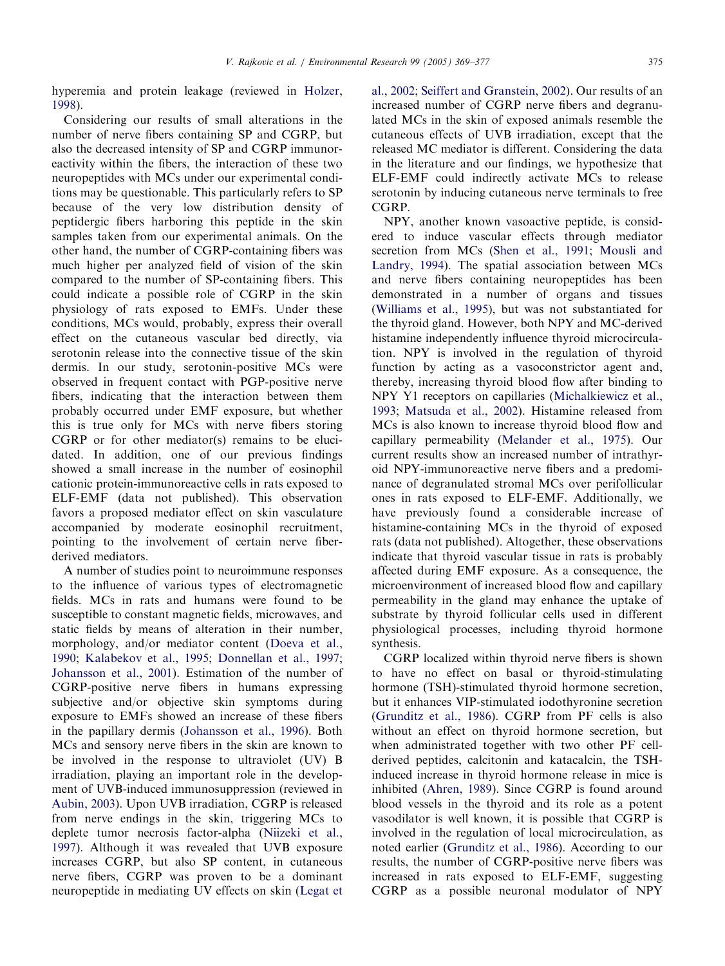hyperemia and protein leakage (reviewed in [Holzer,](#page-7-0) [1998](#page-7-0)).

Considering our results of small alterations in the number of nerve fibers containing SP and CGRP, but also the decreased intensity of SP and CGRP immunoreactivity within the fibers, the interaction of these two neuropeptides with MCs under our experimental conditions may be questionable. This particularly refers to SP because of the very low distribution density of peptidergic fibers harboring this peptide in the skin samples taken from our experimental animals. On the other hand, the number of CGRP-containing fibers was much higher per analyzed field of vision of the skin compared to the number of SP-containing fibers. This could indicate a possible role of CGRP in the skin physiology of rats exposed to EMFs. Under these conditions, MCs would, probably, express their overall effect on the cutaneous vascular bed directly, via serotonin release into the connective tissue of the skin dermis. In our study, serotonin-positive MCs were observed in frequent contact with PGP-positive nerve fibers, indicating that the interaction between them probably occurred under EMF exposure, but whether this is true only for MCs with nerve fibers storing CGRP or for other mediator(s) remains to be elucidated. In addition, one of our previous findings showed a small increase in the number of eosinophil cationic protein-immunoreactive cells in rats exposed to ELF-EMF (data not published). This observation favors a proposed mediator effect on skin vasculature accompanied by moderate eosinophil recruitment, pointing to the involvement of certain nerve fiberderived mediators.

A number of studies point to neuroimmune responses to the influence of various types of electromagnetic fields. MCs in rats and humans were found to be susceptible to constant magnetic fields, microwaves, and static fields by means of alteration in their number, morphology, and/or mediator content ([Doeva et al.,](#page-7-0) [1990](#page-7-0); [Kalabekov et al., 1995;](#page-7-0) [Donnellan et al., 1997;](#page-7-0) [Johansson et al., 2001\)](#page-7-0). Estimation of the number of CGRP-positive nerve fibers in humans expressing subjective and/or objective skin symptoms during exposure to EMFs showed an increase of these fibers in the papillary dermis [\(Johansson et al., 1996](#page-7-0)). Both MCs and sensory nerve fibers in the skin are known to be involved in the response to ultraviolet (UV) B irradiation, playing an important role in the development of UVB-induced immunosuppression (reviewed in [Aubin, 2003\)](#page-7-0). Upon UVB irradiation, CGRP is released from nerve endings in the skin, triggering MCs to deplete tumor necrosis factor-alpha [\(Niizeki et al.,](#page-8-0) [1997](#page-8-0)). Although it was revealed that UVB exposure increases CGRP, but also SP content, in cutaneous nerve fibers, CGRP was proven to be a dominant neuropeptide in mediating UV effects on skin [\(Legat et](#page-7-0) [al., 2002](#page-7-0); [Seiffert and Granstein, 2002](#page-8-0)). Our results of an increased number of CGRP nerve fibers and degranulated MCs in the skin of exposed animals resemble the cutaneous effects of UVB irradiation, except that the released MC mediator is different. Considering the data in the literature and our findings, we hypothesize that ELF-EMF could indirectly activate MCs to release serotonin by inducing cutaneous nerve terminals to free CGRP.

NPY, another known vasoactive peptide, is considered to induce vascular effects through mediator secretion from MCs ([Shen et al., 1991](#page-8-0); [Mousli and](#page-8-0) [Landry, 1994\)](#page-8-0). The spatial association between MCs and nerve fibers containing neuropeptides has been demonstrated in a number of organs and tissues ([Williams et al., 1995](#page-8-0)), but was not substantiated for the thyroid gland. However, both NPY and MC-derived histamine independently influence thyroid microcirculation. NPY is involved in the regulation of thyroid function by acting as a vasoconstrictor agent and, thereby, increasing thyroid blood flow after binding to NPY Y1 receptors on capillaries ([Michalkiewicz et al.,](#page-8-0) [1993](#page-8-0); [Matsuda et al., 2002\)](#page-7-0). Histamine released from MCs is also known to increase thyroid blood flow and capillary permeability [\(Melander et al., 1975\)](#page-7-0). Our current results show an increased number of intrathyroid NPY-immunoreactive nerve fibers and a predominance of degranulated stromal MCs over perifollicular ones in rats exposed to ELF-EMF. Additionally, we have previously found a considerable increase of histamine-containing MCs in the thyroid of exposed rats (data not published). Altogether, these observations indicate that thyroid vascular tissue in rats is probably affected during EMF exposure. As a consequence, the microenvironment of increased blood flow and capillary permeability in the gland may enhance the uptake of substrate by thyroid follicular cells used in different physiological processes, including thyroid hormone synthesis.

CGRP localized within thyroid nerve fibers is shown to have no effect on basal or thyroid-stimulating hormone (TSH)-stimulated thyroid hormone secretion, but it enhances VIP-stimulated iodothyronine secretion ([Grunditz et al., 1986\)](#page-7-0). CGRP from PF cells is also without an effect on thyroid hormone secretion, but when administrated together with two other PF cellderived peptides, calcitonin and katacalcin, the TSHinduced increase in thyroid hormone release in mice is inhibited ([Ahren, 1989](#page-7-0)). Since CGRP is found around blood vessels in the thyroid and its role as a potent vasodilator is well known, it is possible that CGRP is involved in the regulation of local microcirculation, as noted earlier ([Grunditz et al., 1986\)](#page-7-0). According to our results, the number of CGRP-positive nerve fibers was increased in rats exposed to ELF-EMF, suggesting CGRP as a possible neuronal modulator of NPY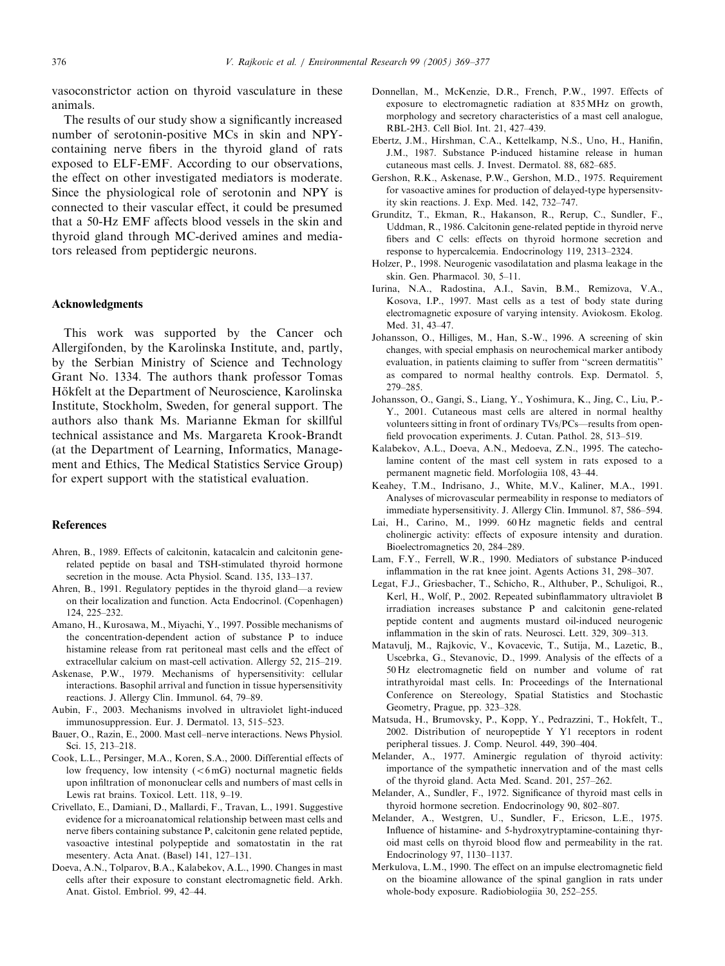<span id="page-7-0"></span>vasoconstrictor action on thyroid vasculature in these animals.

The results of our study show a significantly increased number of serotonin-positive MCs in skin and NPYcontaining nerve fibers in the thyroid gland of rats exposed to ELF-EMF. According to our observations, the effect on other investigated mediators is moderate. Since the physiological role of serotonin and NPY is connected to their vascular effect, it could be presumed that a 50-Hz EMF affects blood vessels in the skin and thyroid gland through MC-derived amines and mediators released from peptidergic neurons.

#### Acknowledgments

This work was supported by the Cancer och Allergifonden, by the Karolinska Institute, and, partly, by the Serbian Ministry of Science and Technology Grant No. 1334. The authors thank professor Tomas Hökfelt at the Department of Neuroscience, Karolinska Institute, Stockholm, Sweden, for general support. The authors also thank Ms. Marianne Ekman for skillful technical assistance and Ms. Margareta Krook-Brandt (at the Department of Learning, Informatics, Management and Ethics, The Medical Statistics Service Group) for expert support with the statistical evaluation.

## References

- Ahren, B., 1989. Effects of calcitonin, katacalcin and calcitonin generelated peptide on basal and TSH-stimulated thyroid hormone secretion in the mouse. Acta Physiol. Scand. 135, 133–137.
- Ahren, B., 1991. Regulatory peptides in the thyroid gland—a review on their localization and function. Acta Endocrinol. (Copenhagen) 124, 225–232.
- Amano, H., Kurosawa, M., Miyachi, Y., 1997. Possible mechanisms of the concentration-dependent action of substance P to induce histamine release from rat peritoneal mast cells and the effect of extracellular calcium on mast-cell activation. Allergy 52, 215–219.
- Askenase, P.W., 1979. Mechanisms of hypersensitivity: cellular interactions. Basophil arrival and function in tissue hypersensitivity reactions. J. Allergy Clin. Immunol. 64, 79–89.
- Aubin, F., 2003. Mechanisms involved in ultraviolet light-induced immunosuppression. Eur. J. Dermatol. 13, 515–523.
- Bauer, O., Razin, E., 2000. Mast cell–nerve interactions. News Physiol. Sci. 15, 213–218.
- Cook, L.L., Persinger, M.A., Koren, S.A., 2000. Differential effects of low frequency, low intensity  $( $6 \text{ mG}$ )$  nocturnal magnetic fields upon infiltration of mononuclear cells and numbers of mast cells in Lewis rat brains. Toxicol. Lett. 118, 9–19.
- Crivellato, E., Damiani, D., Mallardi, F., Travan, L., 1991. Suggestive evidence for a microanatomical relationship between mast cells and nerve fibers containing substance P, calcitonin gene related peptide, vasoactive intestinal polypeptide and somatostatin in the rat mesentery. Acta Anat. (Basel) 141, 127–131.
- Doeva, A.N., Tolparov, B.A., Kalabekov, A.L., 1990. Changes in mast cells after their exposure to constant electromagnetic field. Arkh. Anat. Gistol. Embriol. 99, 42–44.
- Donnellan, M., McKenzie, D.R., French, P.W., 1997. Effects of exposure to electromagnetic radiation at 835MHz on growth, morphology and secretory characteristics of a mast cell analogue, RBL-2H3. Cell Biol. Int. 21, 427–439.
- Ebertz, J.M., Hirshman, C.A., Kettelkamp, N.S., Uno, H., Hanifin, J.M., 1987. Substance P-induced histamine release in human cutaneous mast cells. J. Invest. Dermatol. 88, 682–685.
- Gershon, R.K., Askenase, P.W., Gershon, M.D., 1975. Requirement for vasoactive amines for production of delayed-type hypersensitvity skin reactions. J. Exp. Med. 142, 732–747.
- Grunditz, T., Ekman, R., Hakanson, R., Rerup, C., Sundler, F., Uddman, R., 1986. Calcitonin gene-related peptide in thyroid nerve fibers and C cells: effects on thyroid hormone secretion and response to hypercalcemia. Endocrinology 119, 2313–2324.
- Holzer, P., 1998. Neurogenic vasodilatation and plasma leakage in the skin. Gen. Pharmacol. 30, 5–11.
- Iurina, N.A., Radostina, A.I., Savin, B.M., Remizova, V.A., Kosova, I.P., 1997. Mast cells as a test of body state during electromagnetic exposure of varying intensity. Aviokosm. Ekolog. Med. 31, 43–47.
- Johansson, O., Hilliges, M., Han, S.-W., 1996. A screening of skin changes, with special emphasis on neurochemical marker antibody evaluation, in patients claiming to suffer from ''screen dermatitis'' as compared to normal healthy controls. Exp. Dermatol. 5, 279–285.
- Johansson, O., Gangi, S., Liang, Y., Yoshimura, K., Jing, C., Liu, P.- Y., 2001. Cutaneous mast cells are altered in normal healthy volunteers sitting in front of ordinary TVs/PCs—results from openfield provocation experiments. J. Cutan. Pathol. 28, 513–519.
- Kalabekov, A.L., Doeva, A.N., Medoeva, Z.N., 1995. The catecholamine content of the mast cell system in rats exposed to a permanent magnetic field. Morfologiia 108, 43–44.
- Keahey, T.M., Indrisano, J., White, M.V., Kaliner, M.A., 1991. Analyses of microvascular permeability in response to mediators of immediate hypersensitivity. J. Allergy Clin. Immunol. 87, 586–594.
- Lai, H., Carino, M., 1999. 60 Hz magnetic fields and central cholinergic activity: effects of exposure intensity and duration. Bioelectromagnetics 20, 284–289.
- Lam, F.Y., Ferrell, W.R., 1990. Mediators of substance P-induced inflammation in the rat knee joint. Agents Actions 31, 298–307.
- Legat, F.J., Griesbacher, T., Schicho, R., Althuber, P., Schuligoi, R., Kerl, H., Wolf, P., 2002. Repeated subinflammatory ultraviolet B irradiation increases substance P and calcitonin gene-related peptide content and augments mustard oil-induced neurogenic inflammation in the skin of rats. Neurosci. Lett. 329, 309–313.
- Matavulj, M., Rajkovic, V., Kovacevic, T., Sutija, M., Lazetic, B., Uscebrka, G., Stevanovic, D., 1999. Analysis of the effects of a 50 Hz electromagnetic field on number and volume of rat intrathyroidal mast cells. In: Proceedings of the International Conference on Stereology, Spatial Statistics and Stochastic Geometry, Prague, pp. 323–328.
- Matsuda, H., Brumovsky, P., Kopp, Y., Pedrazzini, T., Hokfelt, T., 2002. Distribution of neuropeptide Y Y1 receptors in rodent peripheral tissues. J. Comp. Neurol. 449, 390–404.
- Melander, A., 1977. Aminergic regulation of thyroid activity: importance of the sympathetic innervation and of the mast cells of the thyroid gland. Acta Med. Scand. 201, 257–262.
- Melander, A., Sundler, F., 1972. Significance of thyroid mast cells in thyroid hormone secretion. Endocrinology 90, 802–807.
- Melander, A., Westgren, U., Sundler, F., Ericson, L.E., 1975. Influence of histamine- and 5-hydroxytryptamine-containing thyroid mast cells on thyroid blood flow and permeability in the rat. Endocrinology 97, 1130–1137.
- Merkulova, L.M., 1990. The effect on an impulse electromagnetic field on the bioamine allowance of the spinal ganglion in rats under whole-body exposure. Radiobiologiia 30, 252–255.